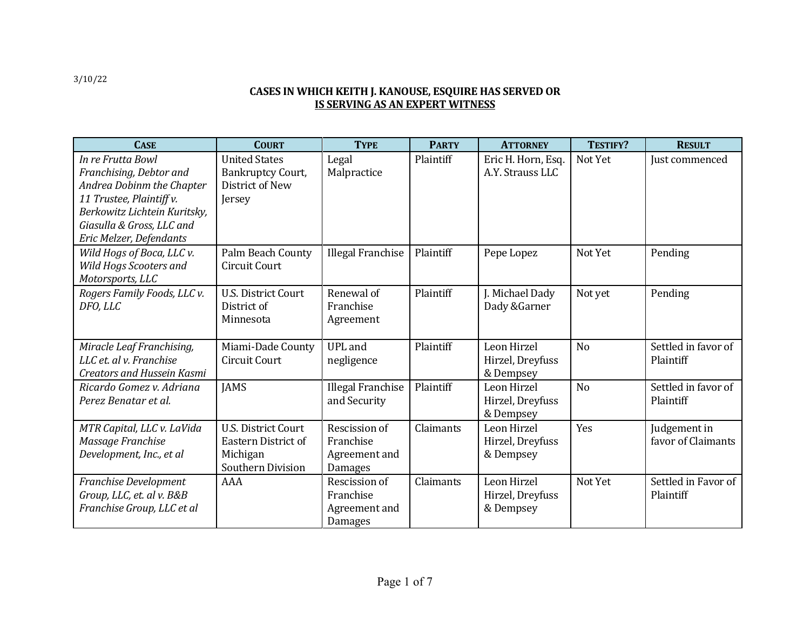## **CASES IN WHICH KEITH J. KANOUSE, ESQUIRE HAS SERVED OR IS SERVING AS AN EXPERT WITNESS**

| <b>CASE</b>                                                                                                                                                                                   | <b>COURT</b>                                                                              | <b>TYPE</b>                                                   | <b>PARTY</b> | <b>ATTORNEY</b>                              | TESTIFY?       | <b>RESULT</b>                      |
|-----------------------------------------------------------------------------------------------------------------------------------------------------------------------------------------------|-------------------------------------------------------------------------------------------|---------------------------------------------------------------|--------------|----------------------------------------------|----------------|------------------------------------|
| In re Frutta Bowl<br>Franchising, Debtor and<br>Andrea Dobinm the Chapter<br>11 Trustee, Plaintiff v.<br>Berkowitz Lichtein Kuritsky,<br>Giasulla & Gross, LLC and<br>Eric Melzer, Defendants | <b>United States</b><br>Bankruptcy Court,<br>District of New<br>Jersey                    | Legal<br>Malpractice                                          | Plaintiff    | Eric H. Horn, Esq.<br>A.Y. Strauss LLC       | Not Yet        | Just commenced                     |
| Wild Hogs of Boca, LLC v.<br>Wild Hogs Scooters and<br>Motorsports, LLC                                                                                                                       | Palm Beach County<br><b>Circuit Court</b>                                                 | <b>Illegal Franchise</b>                                      | Plaintiff    | Pepe Lopez                                   | Not Yet        | Pending                            |
| Rogers Family Foods, LLC v.<br>DFO, LLC                                                                                                                                                       | <b>U.S. District Court</b><br>District of<br>Minnesota                                    | Renewal of<br>Franchise<br>Agreement                          | Plaintiff    | J. Michael Dady<br>Dady & Garner             | Not yet        | Pending                            |
| Miracle Leaf Franchising,<br>LLC et. al v. Franchise<br><b>Creators and Hussein Kasmi</b>                                                                                                     | Miami-Dade County<br><b>Circuit Court</b>                                                 | <b>UPL</b> and<br>negligence                                  | Plaintiff    | Leon Hirzel<br>Hirzel, Dreyfuss<br>& Dempsey | N <sub>o</sub> | Settled in favor of<br>Plaintiff   |
| Ricardo Gomez v. Adriana<br>Perez Benatar et al.                                                                                                                                              | <b>JAMS</b>                                                                               | <b>Illegal Franchise</b><br>and Security                      | Plaintiff    | Leon Hirzel<br>Hirzel, Dreyfuss<br>& Dempsey | N <sub>o</sub> | Settled in favor of<br>Plaintiff   |
| MTR Capital, LLC v. LaVida<br>Massage Franchise<br>Development, Inc., et al                                                                                                                   | <b>U.S. District Court</b><br>Eastern District of<br>Michigan<br><b>Southern Division</b> | Rescission of<br>Franchise<br>Agreement and<br><b>Damages</b> | Claimants    | Leon Hirzel<br>Hirzel, Dreyfuss<br>& Dempsey | Yes            | Judgement in<br>favor of Claimants |
| Franchise Development<br>Group, LLC, et. al v. B&B<br>Franchise Group, LLC et al                                                                                                              | AAA                                                                                       | Rescission of<br>Franchise<br>Agreement and<br>Damages        | Claimants    | Leon Hirzel<br>Hirzel, Dreyfuss<br>& Dempsey | Not Yet        | Settled in Favor of<br>Plaintiff   |

3/10/22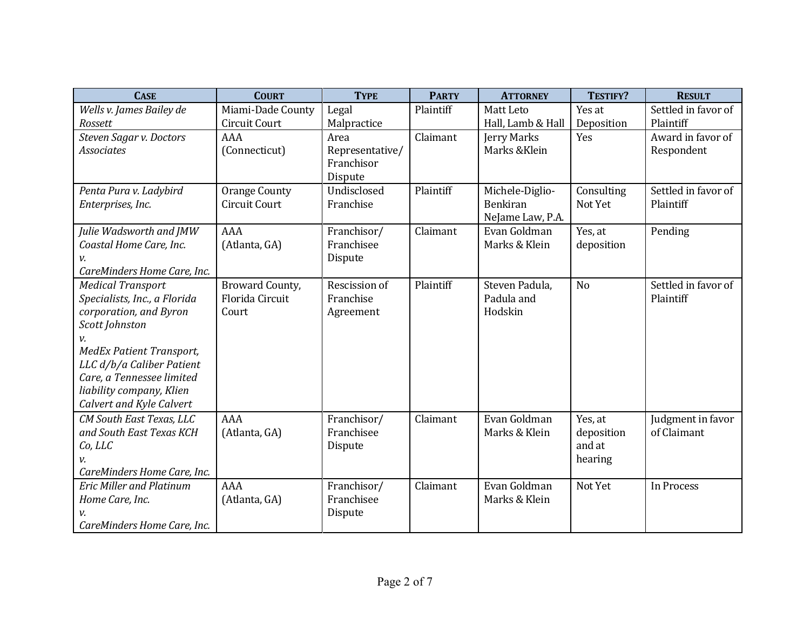| <b>CASE</b>                     | <b>COURT</b>         | <b>TYPE</b>     | <b>PARTY</b> | <b>ATTORNEY</b>   | TESTIFY?       | <b>RESULT</b>       |
|---------------------------------|----------------------|-----------------|--------------|-------------------|----------------|---------------------|
| Wells v. James Bailey de        | Miami-Dade County    | Legal           | Plaintiff    | Matt Leto         | Yes at         | Settled in favor of |
| Rossett                         | Circuit Court        | Malpractice     |              | Hall, Lamb & Hall | Deposition     | Plaintiff           |
| Steven Sagar v. Doctors         | AAA                  | Area            | Claimant     | Jerry Marks       | Yes            | Award in favor of   |
| <b>Associates</b>               | (Connecticut)        | Representative/ |              | Marks & Klein     |                | Respondent          |
|                                 |                      | Franchisor      |              |                   |                |                     |
|                                 |                      | Dispute         |              |                   |                |                     |
| Penta Pura v. Ladybird          | <b>Orange County</b> | Undisclosed     | Plaintiff    | Michele-Diglio-   | Consulting     | Settled in favor of |
| Enterprises, Inc.               | <b>Circuit Court</b> | Franchise       |              | Benkiran          | Not Yet        | Plaintiff           |
|                                 |                      |                 |              | NeJame Law, P.A.  |                |                     |
| Julie Wadsworth and JMW         | AAA                  | Franchisor/     | Claimant     | Evan Goldman      | Yes, at        | Pending             |
| Coastal Home Care, Inc.         | (Atlanta, GA)        | Franchisee      |              | Marks & Klein     | deposition     |                     |
|                                 |                      | Dispute         |              |                   |                |                     |
| CareMinders Home Care, Inc.     |                      |                 |              |                   |                |                     |
| <b>Medical Transport</b>        | Broward County,      | Rescission of   | Plaintiff    | Steven Padula,    | N <sub>o</sub> | Settled in favor of |
| Specialists, Inc., a Florida    | Florida Circuit      | Franchise       |              | Padula and        |                | Plaintiff           |
| corporation, and Byron          | Court                | Agreement       |              | Hodskin           |                |                     |
| Scott Johnston                  |                      |                 |              |                   |                |                     |
| ν.                              |                      |                 |              |                   |                |                     |
| <b>MedEx Patient Transport,</b> |                      |                 |              |                   |                |                     |
| LLC d/b/a Caliber Patient       |                      |                 |              |                   |                |                     |
| Care, a Tennessee limited       |                      |                 |              |                   |                |                     |
| liability company, Klien        |                      |                 |              |                   |                |                     |
| Calvert and Kyle Calvert        |                      |                 |              |                   |                |                     |
| CM South East Texas, LLC        | AAA                  | Franchisor/     | Claimant     | Evan Goldman      | Yes, at        | Judgment in favor   |
| and South East Texas KCH        | (Atlanta, GA)        | Franchisee      |              | Marks & Klein     | deposition     | of Claimant         |
| Co, LLC                         |                      | Dispute         |              |                   | and at         |                     |
| v.                              |                      |                 |              |                   | hearing        |                     |
| CareMinders Home Care, Inc.     |                      |                 |              |                   |                |                     |
| <b>Eric Miller and Platinum</b> | <b>AAA</b>           | Franchisor/     | Claimant     | Evan Goldman      | Not Yet        | In Process          |
| Home Care, Inc.                 | (Atlanta, GA)        | Franchisee      |              | Marks & Klein     |                |                     |
|                                 |                      | Dispute         |              |                   |                |                     |
| CareMinders Home Care, Inc.     |                      |                 |              |                   |                |                     |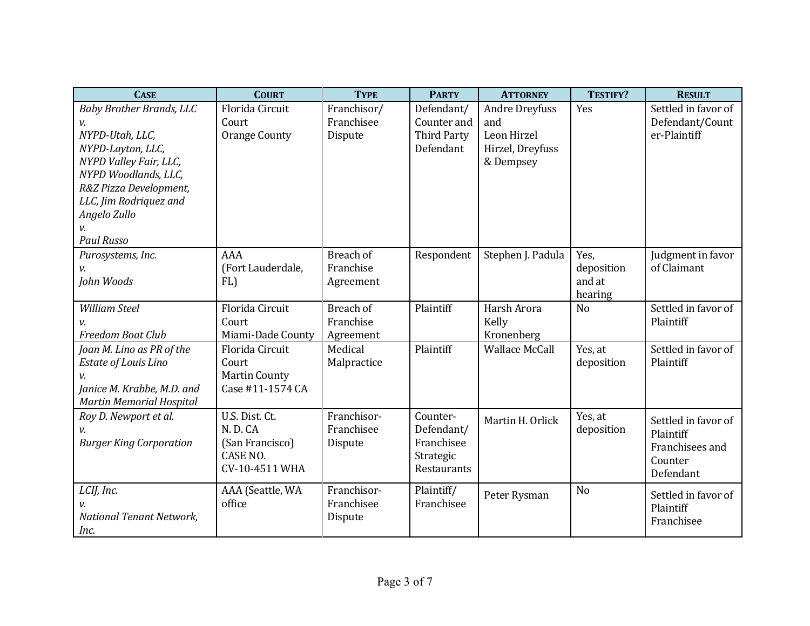| <b>CASE</b>                                                                                                                                                                                                              | <b>COURT</b>                                                              | <b>TYPE</b>                          | <b>PARTY</b>                                                     | <b>ATTORNEY</b>                                                              | <b>TESTIFY?</b>                         | <b>RESULT</b>                                                               |
|--------------------------------------------------------------------------------------------------------------------------------------------------------------------------------------------------------------------------|---------------------------------------------------------------------------|--------------------------------------|------------------------------------------------------------------|------------------------------------------------------------------------------|-----------------------------------------|-----------------------------------------------------------------------------|
| <b>Baby Brother Brands, LLC</b><br>v.<br>NYPD-Utah, LLC,<br>NYPD-Layton, LLC,<br>NYPD Valley Fair, LLC,<br>NYPD Woodlands, LLC,<br>R&Z Pizza Development,<br>LLC, Jim Rodriquez and<br>Angelo Zullo<br><b>Paul Russo</b> | Florida Circuit<br>Court<br><b>Orange County</b>                          | Franchisor/<br>Franchisee<br>Dispute | Defendant/<br>Counter and<br><b>Third Party</b><br>Defendant     | <b>Andre Dreyfuss</b><br>and<br>Leon Hirzel<br>Hirzel, Dreyfuss<br>& Dempsey | Yes                                     | Settled in favor of<br>Defendant/Count<br>er-Plaintiff                      |
| Purosystems, Inc.<br>v.<br>John Woods                                                                                                                                                                                    | AAA<br>(Fort Lauderdale,<br>FL)                                           | Breach of<br>Franchise<br>Agreement  | Respondent                                                       | Stephen J. Padula                                                            | Yes,<br>deposition<br>and at<br>hearing | Judgment in favor<br>of Claimant                                            |
| <b>William Steel</b><br><b>Freedom Boat Club</b>                                                                                                                                                                         | Florida Circuit<br>Court<br>Miami-Dade County                             | Breach of<br>Franchise<br>Agreement  | Plaintiff                                                        | Harsh Arora<br>Kelly<br>Kronenberg                                           | N <sub>o</sub>                          | Settled in favor of<br>Plaintiff                                            |
| Joan M. Lino as PR of the<br>Estate of Louis Lino<br>v.<br>Janice M. Krabbe, M.D. and<br><b>Martin Memorial Hospital</b>                                                                                                 | Florida Circuit<br>Court<br><b>Martin County</b><br>Case #11-1574 CA      | Medical<br>Malpractice               | Plaintiff                                                        | <b>Wallace McCall</b>                                                        | Yes, at<br>deposition                   | Settled in favor of<br>Plaintiff                                            |
| Roy D. Newport et al.<br><b>Burger King Corporation</b>                                                                                                                                                                  | U.S. Dist. Ct.<br>N.D.CA<br>(San Francisco)<br>CASE NO.<br>CV-10-4511 WHA | Franchisor-<br>Franchisee<br>Dispute | Counter-<br>Defendant/<br>Franchisee<br>Strategic<br>Restaurants | Martin H. Orlick                                                             | Yes, at<br>deposition                   | Settled in favor of<br>Plaintiff<br>Franchisees and<br>Counter<br>Defendant |
| LCIJ, Inc.<br>v.<br>National Tenant Network,<br>Inc.                                                                                                                                                                     | AAA (Seattle, WA<br>office                                                | Franchisor-<br>Franchisee<br>Dispute | Plaintiff/<br>Franchisee                                         | Peter Rysman                                                                 | N <sub>o</sub>                          | Settled in favor of<br>Plaintiff<br>Franchisee                              |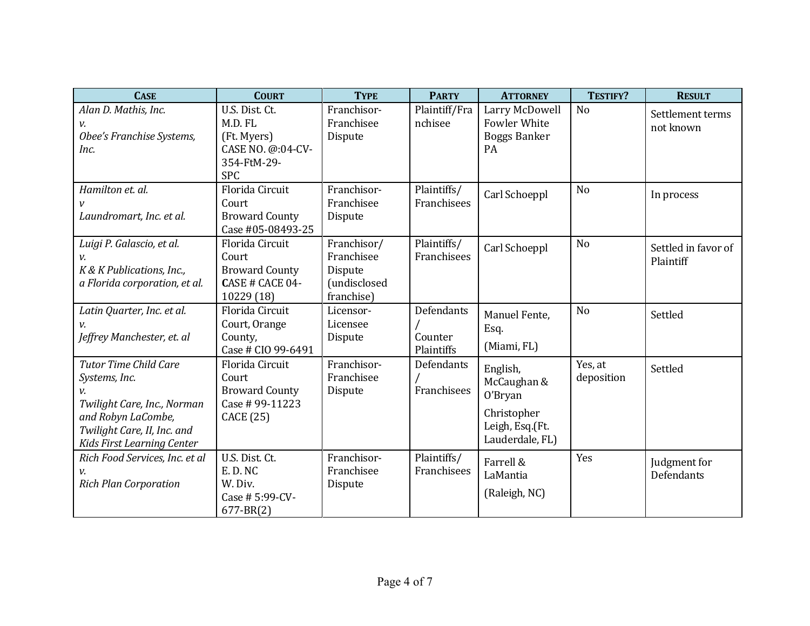| <b>CASE</b>                                                                                                                                                     | <b>COURT</b>                                                                               | <b>TYPE</b>                                                        | <b>PARTY</b>                        | <b>ATTORNEY</b>                                                                         | TESTIFY?              | <b>RESULT</b>                    |
|-----------------------------------------------------------------------------------------------------------------------------------------------------------------|--------------------------------------------------------------------------------------------|--------------------------------------------------------------------|-------------------------------------|-----------------------------------------------------------------------------------------|-----------------------|----------------------------------|
| Alan D. Mathis, Inc.<br>v.<br>Obee's Franchise Systems,<br>Inc.                                                                                                 | U.S. Dist. Ct.<br>M.D. FL<br>(Ft. Myers)<br>CASE NO. @:04-CV-<br>354-FtM-29-<br><b>SPC</b> | Franchisor-<br>Franchisee<br>Dispute                               | Plaintiff/Fra<br>nchisee            | Larry McDowell<br>Fowler White<br><b>Boggs Banker</b><br>PA                             | N <sub>o</sub>        | Settlement terms<br>not known    |
| Hamilton et. al.<br>Laundromart, Inc. et al.                                                                                                                    | Florida Circuit<br>Court<br><b>Broward County</b><br>Case #05-08493-25                     | Franchisor-<br>Franchisee<br>Dispute                               | Plaintiffs/<br>Franchisees          | Carl Schoeppl                                                                           | N <sub>o</sub>        | In process                       |
| Luigi P. Galascio, et al.<br>V.<br>K & K Publications, Inc.,<br>a Florida corporation, et al.                                                                   | <b>Florida Circuit</b><br>Court<br><b>Broward County</b><br>CASE # CACE 04-<br>10229 (18)  | Franchisor/<br>Franchisee<br>Dispute<br>(undisclosed<br>franchise) | Plaintiffs/<br>Franchisees          | Carl Schoeppl                                                                           | N <sub>o</sub>        | Settled in favor of<br>Plaintiff |
| Latin Quarter, Inc. et al.<br>Jeffrey Manchester, et. al                                                                                                        | Florida Circuit<br>Court, Orange<br>County,<br>Case # CIO 99-6491                          | Licensor-<br>Licensee<br>Dispute                                   | Defendants<br>Counter<br>Plaintiffs | Manuel Fente,<br>Esq.<br>(Miami, FL)                                                    | N <sub>o</sub>        | Settled                          |
| <b>Tutor Time Child Care</b><br>Systems, Inc.<br>Twilight Care, Inc., Norman<br>and Robyn LaCombe,<br>Twilight Care, II, Inc. and<br>Kids First Learning Center | Florida Circuit<br>Court<br><b>Broward County</b><br>Case #99-11223<br>CACE (25)           | Franchisor-<br>Franchisee<br>Dispute                               | Defendants<br>Franchisees           | English,<br>McCaughan &<br>O'Bryan<br>Christopher<br>Leigh, Esq.(Ft.<br>Lauderdale, FL) | Yes, at<br>deposition | Settled                          |
| Rich Food Services, Inc. et al<br>V.<br><b>Rich Plan Corporation</b>                                                                                            | U.S. Dist. Ct.<br>E.D.NC<br>W. Div.<br>Case # 5:99-CV-<br>$677 - BR(2)$                    | Franchisor-<br>Franchisee<br>Dispute                               | Plaintiffs/<br>Franchisees          | Farrell &<br>LaMantia<br>(Raleigh, NC)                                                  | Yes                   | Judgment for<br>Defendants       |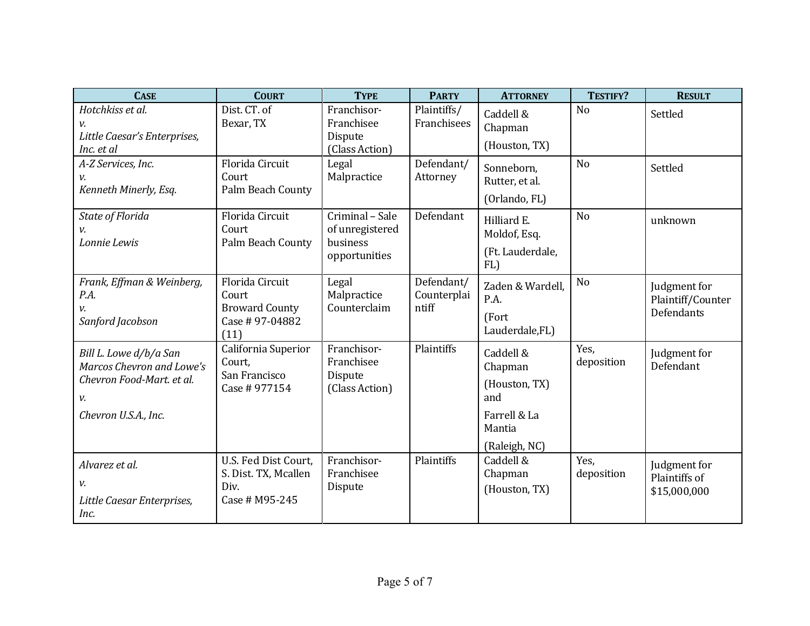| <b>CASE</b>                                                                                                    | <b>COURT</b>                                                                | <b>TYPE</b>                                                     | <b>PARTY</b>                       | <b>ATTORNEY</b>                                                                         | TESTIFY?           | <b>RESULT</b>                                          |
|----------------------------------------------------------------------------------------------------------------|-----------------------------------------------------------------------------|-----------------------------------------------------------------|------------------------------------|-----------------------------------------------------------------------------------------|--------------------|--------------------------------------------------------|
| Hotchkiss et al.<br>ν.<br>Little Caesar's Enterprises,<br>Inc. et al                                           | Dist. CT. of<br>Bexar, TX                                                   | Franchisor-<br>Franchisee<br>Dispute<br>(Class Action)          | Plaintiffs/<br>Franchisees         | Caddell &<br>Chapman<br>(Houston, TX)                                                   | N <sub>o</sub>     | Settled                                                |
| A-Z Services, Inc.<br>v.<br>Kenneth Minerly, Esq.                                                              | Florida Circuit<br>Court<br>Palm Beach County                               | Legal<br>Malpractice                                            | Defendant/<br>Attorney             | Sonneborn,<br>Rutter, et al.<br>(Orlando, FL)                                           | N <sub>o</sub>     | Settled                                                |
| State of Florida<br>ν.<br>Lonnie Lewis                                                                         | Florida Circuit<br>Court<br>Palm Beach County                               | Criminal - Sale<br>of unregistered<br>business<br>opportunities | Defendant                          | Hilliard E.<br>Moldof, Esq.<br>(Ft. Lauderdale,<br>FL)                                  | N <sub>o</sub>     | unknown                                                |
| Frank, Effman & Weinberg,<br>P.A.<br>v.<br>Sanford Jacobson                                                    | Florida Circuit<br>Court<br><b>Broward County</b><br>Case #97-04882<br>(11) | Legal<br>Malpractice<br>Counterclaim                            | Defendant/<br>Counterplai<br>ntiff | Zaden & Wardell.<br>P.A.<br>(Fort<br>Lauderdale,FL)                                     | N <sub>o</sub>     | Judgment for<br>Plaintiff/Counter<br><b>Defendants</b> |
| Bill L. Lowe d/b/a San<br>Marcos Chevron and Lowe's<br>Chevron Food-Mart. et al.<br>v.<br>Chevron U.S.A., Inc. | California Superior<br>Court,<br>San Francisco<br>Case # 977154             | Franchisor-<br>Franchisee<br>Dispute<br>(Class Action)          | Plaintiffs                         | Caddell &<br>Chapman<br>(Houston, TX)<br>and<br>Farrell & La<br>Mantia<br>(Raleigh, NC) | Yes,<br>deposition | Judgment for<br>Defendant                              |
| Alvarez et al.<br>v.<br>Little Caesar Enterprises,<br>Inc.                                                     | U.S. Fed Dist Court,<br>S. Dist. TX, Mcallen<br>Div.<br>Case # M95-245      | Franchisor-<br>Franchisee<br>Dispute                            | Plaintiffs                         | Caddell &<br>Chapman<br>(Houston, TX)                                                   | Yes,<br>deposition | Judgment for<br>Plaintiffs of<br>\$15,000,000          |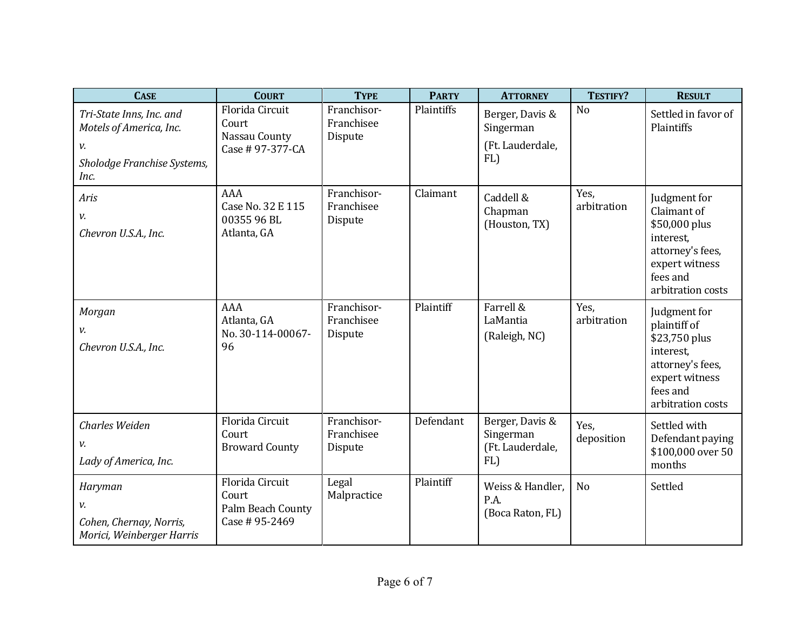| <b>CASE</b>                                                                                      | <b>COURT</b>                                                    | <b>TYPE</b>                          | <b>PARTY</b> | <b>ATTORNEY</b>                                         | TESTIFY?            | <b>RESULT</b>                                                                                                                     |
|--------------------------------------------------------------------------------------------------|-----------------------------------------------------------------|--------------------------------------|--------------|---------------------------------------------------------|---------------------|-----------------------------------------------------------------------------------------------------------------------------------|
| Tri-State Inns, Inc. and<br>Motels of America, Inc.<br>v.<br>Sholodge Franchise Systems,<br>Inc. | Florida Circuit<br>Court<br>Nassau County<br>Case # 97-377-CA   | Franchisor-<br>Franchisee<br>Dispute | Plaintiffs   | Berger, Davis &<br>Singerman<br>(Ft. Lauderdale,<br>FL) | N <sub>o</sub>      | Settled in favor of<br>Plaintiffs                                                                                                 |
| Aris<br>v.<br>Chevron U.S.A., Inc.                                                               | AAA<br>Case No. 32 E 115<br>00355 96 BL<br>Atlanta, GA          | Franchisor-<br>Franchisee<br>Dispute | Claimant     | Caddell &<br>Chapman<br>(Houston, TX)                   | Yes,<br>arbitration | Judgment for<br>Claimant of<br>\$50,000 plus<br>interest,<br>attorney's fees,<br>expert witness<br>fees and<br>arbitration costs  |
| Morgan<br>v.<br>Chevron U.S.A., Inc.                                                             | AAA<br>Atlanta, GA<br>No. 30-114-00067-<br>96                   | Franchisor-<br>Franchisee<br>Dispute | Plaintiff    | Farrell &<br>LaMantia<br>(Raleigh, NC)                  | Yes,<br>arbitration | Judgment for<br>plaintiff of<br>\$23,750 plus<br>interest,<br>attorney's fees,<br>expert witness<br>fees and<br>arbitration costs |
| <b>Charles Weiden</b><br>v.<br>Lady of America, Inc.                                             | Florida Circuit<br>Court<br><b>Broward County</b>               | Franchisor-<br>Franchisee<br>Dispute | Defendant    | Berger, Davis &<br>Singerman<br>(Ft. Lauderdale,<br>FL) | Yes.<br>deposition  | Settled with<br>Defendant paying<br>\$100,000 over 50<br>months                                                                   |
| Haryman<br>v.<br>Cohen, Chernay, Norris,<br>Morici, Weinberger Harris                            | Florida Circuit<br>Court<br>Palm Beach County<br>Case # 95-2469 | Legal<br>Malpractice                 | Plaintiff    | Weiss & Handler,<br>P.A.<br>(Boca Raton, FL)            | N <sub>o</sub>      | Settled                                                                                                                           |